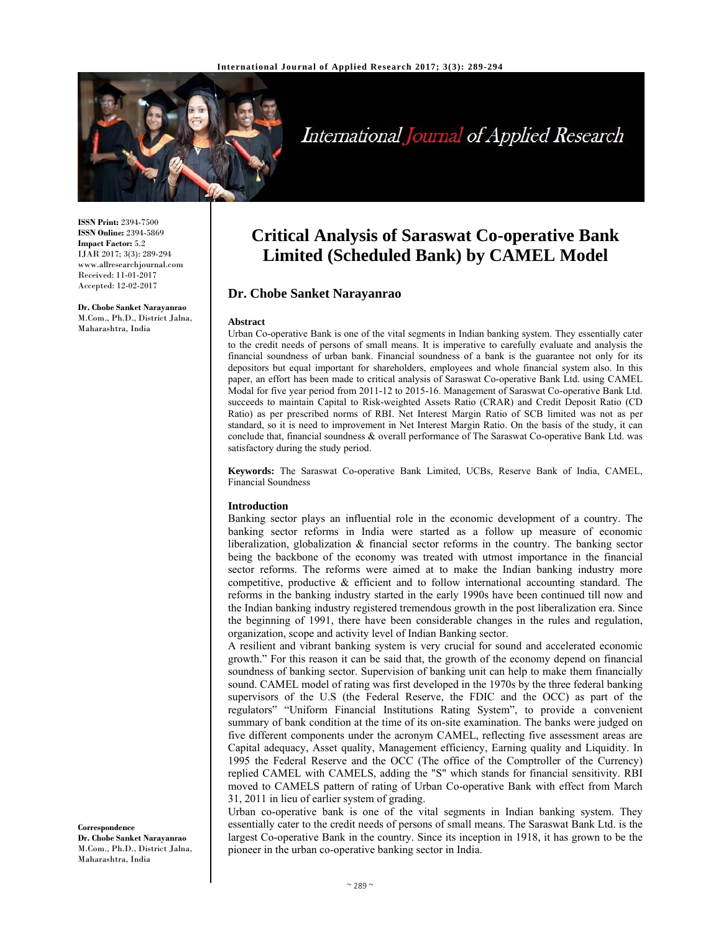

International Journal of Applied Research

**ISSN Print:** 2394-7500 **ISSN Online:** 2394-5869 **Impact Factor:** 5.2 IJAR 2017; 3(3): 289-294 www.allresearchjournal.com Received: 11-01-2017 Accepted: 12-02-2017

#### **Dr. Chobe Sanket Narayanrao**  M.Com., Ph.D., District Jalna, Maharashtra, India

# **Critical Analysis of Saraswat Co-operative Bank Limited (Scheduled Bank) by CAMEL Model**

# **Dr. Chobe Sanket Narayanrao**

#### **Abstract**

Urban Co-operative Bank is one of the vital segments in Indian banking system. They essentially cater to the credit needs of persons of small means. It is imperative to carefully evaluate and analysis the financial soundness of urban bank. Financial soundness of a bank is the guarantee not only for its depositors but equal important for shareholders, employees and whole financial system also. In this paper, an effort has been made to critical analysis of Saraswat Co-operative Bank Ltd. using CAMEL Modal for five year period from 2011-12 to 2015-16. Management of Saraswat Co-operative Bank Ltd. succeeds to maintain Capital to Risk-weighted Assets Ratio (CRAR) and Credit Deposit Ratio (CD Ratio) as per prescribed norms of RBI. Net Interest Margin Ratio of SCB limited was not as per standard, so it is need to improvement in Net Interest Margin Ratio. On the basis of the study, it can conclude that, financial soundness & overall performance of The Saraswat Co-operative Bank Ltd. was satisfactory during the study period.

**Keywords:** The Saraswat Co-operative Bank Limited, UCBs, Reserve Bank of India, CAMEL, Financial Soundness

#### **Introduction**

Banking sector plays an influential role in the economic development of a country. The banking sector reforms in India were started as a follow up measure of economic liberalization, globalization & financial sector reforms in the country. The banking sector being the backbone of the economy was treated with utmost importance in the financial sector reforms. The reforms were aimed at to make the Indian banking industry more competitive, productive  $\&$  efficient and to follow international accounting standard. The reforms in the banking industry started in the early 1990s have been continued till now and the Indian banking industry registered tremendous growth in the post liberalization era. Since the beginning of 1991, there have been considerable changes in the rules and regulation, organization, scope and activity level of Indian Banking sector.

A resilient and vibrant banking system is very crucial for sound and accelerated economic growth." For this reason it can be said that, the growth of the economy depend on financial soundness of banking sector. Supervision of banking unit can help to make them financially sound. CAMEL model of rating was first developed in the 1970s by the three federal banking supervisors of the U.S (the Federal Reserve, the FDIC and the OCC) as part of the regulators" "Uniform Financial Institutions Rating System", to provide a convenient summary of bank condition at the time of its on-site examination. The banks were judged on five different components under the acronym CAMEL, reflecting five assessment areas are Capital adequacy, Asset quality, Management efficiency, Earning quality and Liquidity. In 1995 the Federal Reserve and the OCC (The office of the Comptroller of the Currency) replied CAMEL with CAMELS, adding the "S" which stands for financial sensitivity. RBI moved to CAMELS pattern of rating of Urban Co-operative Bank with effect from March 31, 2011 in lieu of earlier system of grading.

Urban co-operative bank is one of the vital segments in Indian banking system. They essentially cater to the credit needs of persons of small means. The Saraswat Bank Ltd. is the largest Co-operative Bank in the country. Since its inception in 1918, it has grown to be the pioneer in the urban co-operative banking sector in India.

**Correspondence Dr. Chobe Sanket Narayanrao**  M.Com., Ph.D., District Jalna, Maharashtra, India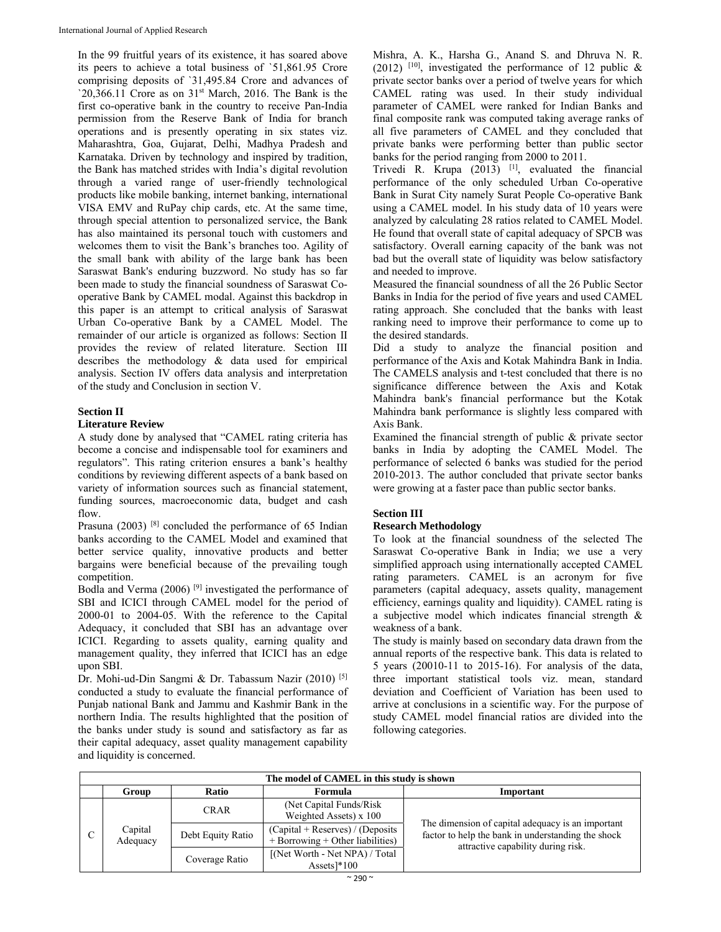In the 99 fruitful years of its existence, it has soared above its peers to achieve a total business of `51,861.95 Crore comprising deposits of `31,495.84 Crore and advances of '20,366.11 Crore as on  $31<sup>st</sup>$  March, 2016. The Bank is the first co-operative bank in the country to receive Pan-India permission from the Reserve Bank of India for branch operations and is presently operating in six states viz. Maharashtra, Goa, Gujarat, Delhi, Madhya Pradesh and Karnataka. Driven by technology and inspired by tradition, the Bank has matched strides with India's digital revolution through a varied range of user-friendly technological products like mobile banking, internet banking, international VISA EMV and RuPay chip cards, etc. At the same time, through special attention to personalized service, the Bank has also maintained its personal touch with customers and welcomes them to visit the Bank's branches too. Agility of the small bank with ability of the large bank has been Saraswat Bank's enduring buzzword. No study has so far been made to study the financial soundness of Saraswat Cooperative Bank by CAMEL modal. Against this backdrop in this paper is an attempt to critical analysis of Saraswat Urban Co-operative Bank by a CAMEL Model. The remainder of our article is organized as follows: Section II provides the review of related literature. Section III describes the methodology & data used for empirical analysis. Section IV offers data analysis and interpretation of the study and Conclusion in section V.

# **Section II**

### **Literature Review**

A study done by analysed that "CAMEL rating criteria has become a concise and indispensable tool for examiners and regulators". This rating criterion ensures a bank's healthy conditions by reviewing different aspects of a bank based on variety of information sources such as financial statement, funding sources, macroeconomic data, budget and cash flow.

Prasuna (2003)<sup>[8]</sup> concluded the performance of 65 Indian banks according to the CAMEL Model and examined that better service quality, innovative products and better bargains were beneficial because of the prevailing tough competition.

Bodla and Verma (2006) [9] investigated the performance of SBI and ICICI through CAMEL model for the period of 2000-01 to 2004-05. With the reference to the Capital Adequacy, it concluded that SBI has an advantage over ICICI. Regarding to assets quality, earning quality and management quality, they inferred that ICICI has an edge upon SBI.

Dr. Mohi-ud-Din Sangmi & Dr. Tabassum Nazir (2010) [5] conducted a study to evaluate the financial performance of Punjab national Bank and Jammu and Kashmir Bank in the northern India. The results highlighted that the position of the banks under study is sound and satisfactory as far as their capital adequacy, asset quality management capability and liquidity is concerned.

Mishra, A. K., Harsha G., Anand S. and Dhruva N. R. (2012) <sup>[10]</sup>, investigated the performance of 12 public & private sector banks over a period of twelve years for which CAMEL rating was used. In their study individual parameter of CAMEL were ranked for Indian Banks and final composite rank was computed taking average ranks of all five parameters of CAMEL and they concluded that private banks were performing better than public sector banks for the period ranging from 2000 to 2011.

Trivedi R. Krupa  $(2013)$  <sup>[1]</sup>, evaluated the financial performance of the only scheduled Urban Co-operative Bank in Surat City namely Surat People Co-operative Bank using a CAMEL model. In his study data of 10 years were analyzed by calculating 28 ratios related to CAMEL Model. He found that overall state of capital adequacy of SPCB was satisfactory. Overall earning capacity of the bank was not bad but the overall state of liquidity was below satisfactory and needed to improve.

Measured the financial soundness of all the 26 Public Sector Banks in India for the period of five years and used CAMEL rating approach. She concluded that the banks with least ranking need to improve their performance to come up to the desired standards.

Did a study to analyze the financial position and performance of the Axis and Kotak Mahindra Bank in India. The CAMELS analysis and t-test concluded that there is no significance difference between the Axis and Kotak Mahindra bank's financial performance but the Kotak Mahindra bank performance is slightly less compared with Axis Bank.

Examined the financial strength of public & private sector banks in India by adopting the CAMEL Model. The performance of selected 6 banks was studied for the period 2010-2013. The author concluded that private sector banks were growing at a faster pace than public sector banks.

# **Section III**

# **Research Methodology**

To look at the financial soundness of the selected The Saraswat Co-operative Bank in India; we use a very simplified approach using internationally accepted CAMEL rating parameters. CAMEL is an acronym for five parameters (capital adequacy, assets quality, management efficiency, earnings quality and liquidity). CAMEL rating is a subjective model which indicates financial strength & weakness of a bank.

The study is mainly based on secondary data drawn from the annual reports of the respective bank. This data is related to 5 years (20010-11 to 2015-16). For analysis of the data, three important statistical tools viz. mean, standard deviation and Coefficient of Variation has been used to arrive at conclusions in a scientific way. For the purpose of study CAMEL model financial ratios are divided into the following categories.

| The model of CAMEL in this study is shown |                     |                   |                                                                             |                                                                                                                                               |  |
|-------------------------------------------|---------------------|-------------------|-----------------------------------------------------------------------------|-----------------------------------------------------------------------------------------------------------------------------------------------|--|
|                                           | Group               | <b>Ratio</b>      | Formula                                                                     | Important                                                                                                                                     |  |
|                                           | Capital<br>Adequacy | <b>CRAR</b>       | (Net Capital Funds/Risk)<br>Weighted Assets) x 100                          |                                                                                                                                               |  |
|                                           |                     | Debt Equity Ratio | $(Capital + Reserves) / (Deposits)$<br>$+$ Borrowing $+$ Other liabilities) | The dimension of capital adequacy is an important<br>factor to help the bank in understanding the shock<br>attractive capability during risk. |  |
|                                           |                     | Coverage Ratio    | [(Net Worth - Net NPA) / Total<br>Assets $]$ *100                           |                                                                                                                                               |  |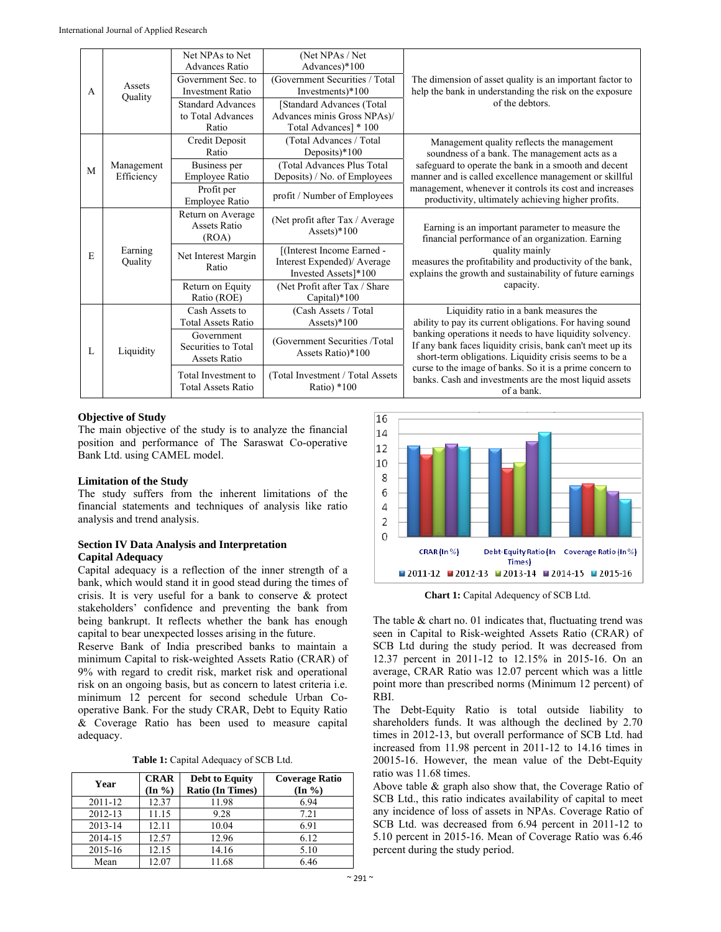|   | Assets<br>Quality        | Net NPAs to Net<br><b>Advances Ratio</b>                 | (Net NPAs / Net<br>Advances)*100                                                  |                                                                                                                                                                                                                                                  |  |
|---|--------------------------|----------------------------------------------------------|-----------------------------------------------------------------------------------|--------------------------------------------------------------------------------------------------------------------------------------------------------------------------------------------------------------------------------------------------|--|
| A |                          | Government Sec. to<br><b>Investment Ratio</b>            | (Government Securities / Total)<br>Investments $*100$                             | The dimension of asset quality is an important factor to<br>help the bank in understanding the risk on the exposure                                                                                                                              |  |
|   |                          | <b>Standard Advances</b><br>to Total Advances<br>Ratio   | [Standard Advances (Total<br>Advances minis Gross NPAs)/<br>Total Advances] * 100 | of the debtors.                                                                                                                                                                                                                                  |  |
|   |                          | Credit Deposit<br>Ratio                                  | (Total Advances / Total<br>Deposits $*100$                                        | Management quality reflects the management<br>soundness of a bank. The management acts as a                                                                                                                                                      |  |
| M | Management<br>Efficiency | Business per<br>Employee Ratio                           | (Total Advances Plus Total<br>Deposits) / No. of Employees                        | safeguard to operate the bank in a smooth and decent<br>manner and is called excellence management or skillful<br>management, whenever it controls its cost and increases<br>productivity, ultimately achieving higher profits.                  |  |
|   |                          | Profit per<br>Employee Ratio                             | profit / Number of Employees                                                      |                                                                                                                                                                                                                                                  |  |
| E | Earning<br>Quality       | Return on Average<br>Assets Ratio<br>(ROA)               | (Net profit after Tax / Average<br>Assets $*100$                                  | Earning is an important parameter to measure the<br>financial performance of an organization. Earning<br>quality mainly<br>measures the profitability and productivity of the bank,<br>explains the growth and sustainability of future earnings |  |
|   |                          | Net Interest Margin<br>Ratio                             | [(Interest Income Earned -<br>Interest Expended)/ Average<br>Invested Assets]*100 |                                                                                                                                                                                                                                                  |  |
|   |                          | Return on Equity<br>Ratio (ROE)                          | (Net Profit after Tax / Share)<br>Capital)*100                                    | capacity.                                                                                                                                                                                                                                        |  |
|   | Liquidity                | Cash Assets to<br><b>Total Assets Ratio</b>              | (Cash Assets / Total<br>Assets $*100$                                             | Liquidity ratio in a bank measures the<br>ability to pay its current obligations. For having sound                                                                                                                                               |  |
| L |                          | Government<br>Securities to Total<br><b>Assets Ratio</b> | (Government Securities /Total<br>Assets Ratio)*100                                | banking operations it needs to have liquidity solvency.<br>If any bank faces liquidity crisis, bank can't meet up its<br>short-term obligations. Liquidity crisis seems to be a                                                                  |  |
|   |                          | Total Investment to<br><b>Total Assets Ratio</b>         | (Total Investment / Total Assets<br>Ratio) $*100$                                 | curse to the image of banks. So it is a prime concern to<br>banks. Cash and investments are the most liquid assets<br>of a bank.                                                                                                                 |  |

# **Objective of Study**

The main objective of the study is to analyze the financial position and performance of The Saraswat Co-operative Bank Ltd. using CAMEL model.

# **Limitation of the Study**

The study suffers from the inherent limitations of the financial statements and techniques of analysis like ratio analysis and trend analysis.

# **Section IV Data Analysis and Interpretation Capital Adequacy**

Capital adequacy is a reflection of the inner strength of a bank, which would stand it in good stead during the times of crisis. It is very useful for a bank to conserve & protect stakeholders' confidence and preventing the bank from being bankrupt. It reflects whether the bank has enough capital to bear unexpected losses arising in the future.

Reserve Bank of India prescribed banks to maintain a minimum Capital to risk-weighted Assets Ratio (CRAR) of 9% with regard to credit risk, market risk and operational risk on an ongoing basis, but as concern to latest criteria i.e. minimum 12 percent for second schedule Urban Cooperative Bank. For the study CRAR, Debt to Equity Ratio & Coverage Ratio has been used to measure capital adequacy.

**Table 1:** Capital Adequacy of SCB Ltd.

| Year    | <b>CRAR</b><br>$(\text{In } \% )$ | <b>Debt to Equity</b><br><b>Ratio (In Times)</b> | <b>Coverage Ratio</b><br>$(In \%)$ |
|---------|-----------------------------------|--------------------------------------------------|------------------------------------|
| 2011-12 | 12.37                             | 11.98                                            | 6.94                               |
| 2012-13 | 11.15                             | 9.28                                             | 7.21                               |
| 2013-14 | 12.11                             | 10.04                                            | 6.91                               |
| 2014-15 | 12.57                             | 12.96                                            | 6.12                               |
| 2015-16 | 12.15                             | 14.16                                            | 5.10                               |
| Mean    | 12.07                             | 11.68                                            | 6.46                               |



**Chart 1:** Capital Adequency of SCB Ltd.

The table & chart no. 01 indicates that, fluctuating trend was seen in Capital to Risk-weighted Assets Ratio (CRAR) of SCB Ltd during the study period. It was decreased from 12.37 percent in 2011-12 to 12.15% in 2015-16. On an average, CRAR Ratio was 12.07 percent which was a little point more than prescribed norms (Minimum 12 percent) of RBI.

The Debt-Equity Ratio is total outside liability to shareholders funds. It was although the declined by 2.70 times in 2012-13, but overall performance of SCB Ltd. had increased from 11.98 percent in 2011-12 to 14.16 times in 20015-16. However, the mean value of the Debt-Equity ratio was 11.68 times.

Above table & graph also show that, the Coverage Ratio of SCB Ltd., this ratio indicates availability of capital to meet any incidence of loss of assets in NPAs. Coverage Ratio of SCB Ltd. was decreased from 6.94 percent in 2011-12 to 5.10 percent in 2015-16. Mean of Coverage Ratio was 6.46 percent during the study period.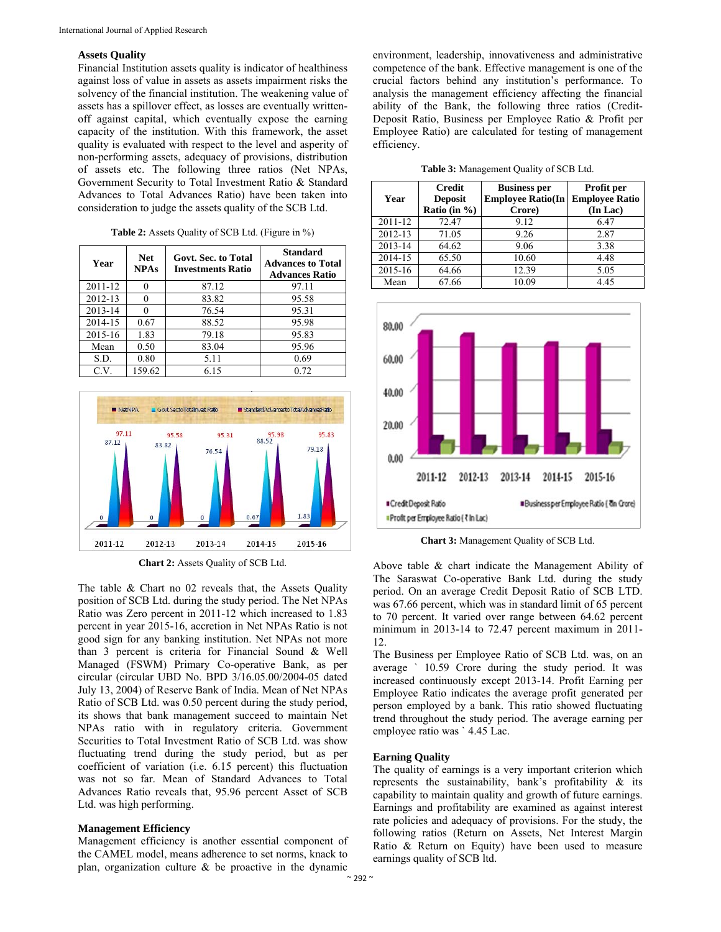#### **Assets Quality**

Financial Institution assets quality is indicator of healthiness against loss of value in assets as assets impairment risks the solvency of the financial institution. The weakening value of assets has a spillover effect, as losses are eventually writtenoff against capital, which eventually expose the earning capacity of the institution. With this framework, the asset quality is evaluated with respect to the level and asperity of non-performing assets, adequacy of provisions, distribution of assets etc. The following three ratios (Net NPAs, Government Security to Total Investment Ratio & Standard Advances to Total Advances Ratio) have been taken into consideration to judge the assets quality of the SCB Ltd.

| Year    | <b>Net</b><br><b>NPAs</b> | Govt. Sec. to Total<br><b>Investments Ratio</b> | <b>Standard</b><br><b>Advances to Total</b><br><b>Advances Ratio</b> |
|---------|---------------------------|-------------------------------------------------|----------------------------------------------------------------------|
| 2011-12 | 0                         | 87.12                                           | 97.11                                                                |
| 2012-13 | 0                         | 83.82                                           | 95.58                                                                |
| 2013-14 |                           | 76.54                                           | 95.31                                                                |
| 2014-15 | 0.67                      | 88.52                                           | 95.98                                                                |
| 2015-16 | 1.83                      | 79.18                                           | 95.83                                                                |
| Mean    | 0.50                      | 83.04                                           | 95.96                                                                |
| S.D.    | 0.80                      | 5.11                                            | 0.69                                                                 |
| C.V.    | 159.62                    | 6.15                                            | 0.72                                                                 |

**Table 2:** Assets Quality of SCB Ltd. (Figure in %)



**Chart 2:** Assets Quality of SCB Ltd.

The table & Chart no 02 reveals that, the Assets Quality position of SCB Ltd. during the study period. The Net NPAs Ratio was Zero percent in 2011-12 which increased to 1.83 percent in year 2015-16, accretion in Net NPAs Ratio is not good sign for any banking institution. Net NPAs not more than 3 percent is criteria for Financial Sound & Well Managed (FSWM) Primary Co-operative Bank, as per circular (circular UBD No. BPD 3/16.05.00/2004-05 dated July 13, 2004) of Reserve Bank of India. Mean of Net NPAs Ratio of SCB Ltd. was 0.50 percent during the study period, its shows that bank management succeed to maintain Net NPAs ratio with in regulatory criteria. Government Securities to Total Investment Ratio of SCB Ltd. was show fluctuating trend during the study period, but as per coefficient of variation (i.e. 6.15 percent) this fluctuation was not so far. Mean of Standard Advances to Total Advances Ratio reveals that, 95.96 percent Asset of SCB Ltd. was high performing.

#### **Management Efficiency**

Management efficiency is another essential component of the CAMEL model, means adherence to set norms, knack to plan, organization culture & be proactive in the dynamic

environment, leadership, innovativeness and administrative competence of the bank. Effective management is one of the crucial factors behind any institution's performance. To analysis the management efficiency affecting the financial ability of the Bank, the following three ratios (Credit-Deposit Ratio, Business per Employee Ratio & Profit per Employee Ratio) are calculated for testing of management efficiency.

**Table 3:** Management Quality of SCB Ltd.

| Year    | <b>Credit</b><br><b>Deposit</b><br>Ratio (in $\%$ ) | <b>Business per</b><br><b>Employee Ratio(In</b><br>Crore) | Profit per<br><b>Employee Ratio</b><br>(In Lac) |
|---------|-----------------------------------------------------|-----------------------------------------------------------|-------------------------------------------------|
| 2011-12 | 72.47                                               | 9.12                                                      | 6.47                                            |
| 2012-13 | 71.05                                               | 9.26                                                      | 2.87                                            |
| 2013-14 | 64.62                                               | 9.06                                                      | 3.38                                            |
| 2014-15 | 65.50                                               | 10.60                                                     | 4.48                                            |
| 2015-16 | 64.66                                               | 12.39                                                     | 5.05                                            |
| Mean    | 67.66                                               | 10.09                                                     | 4.45                                            |



**Chart 3:** Management Quality of SCB Ltd.

Above table & chart indicate the Management Ability of The Saraswat Co-operative Bank Ltd. during the study period. On an average Credit Deposit Ratio of SCB LTD. was 67.66 percent, which was in standard limit of 65 percent to 70 percent. It varied over range between 64.62 percent minimum in 2013-14 to 72.47 percent maximum in 2011- 12.

The Business per Employee Ratio of SCB Ltd. was, on an average ` 10.59 Crore during the study period. It was increased continuously except 2013-14. Profit Earning per Employee Ratio indicates the average profit generated per person employed by a bank. This ratio showed fluctuating trend throughout the study period. The average earning per employee ratio was ` 4.45 Lac.

#### **Earning Quality**

The quality of earnings is a very important criterion which represents the sustainability, bank's profitability & its capability to maintain quality and growth of future earnings. Earnings and profitability are examined as against interest rate policies and adequacy of provisions. For the study, the following ratios (Return on Assets, Net Interest Margin Ratio & Return on Equity) have been used to measure earnings quality of SCB ltd.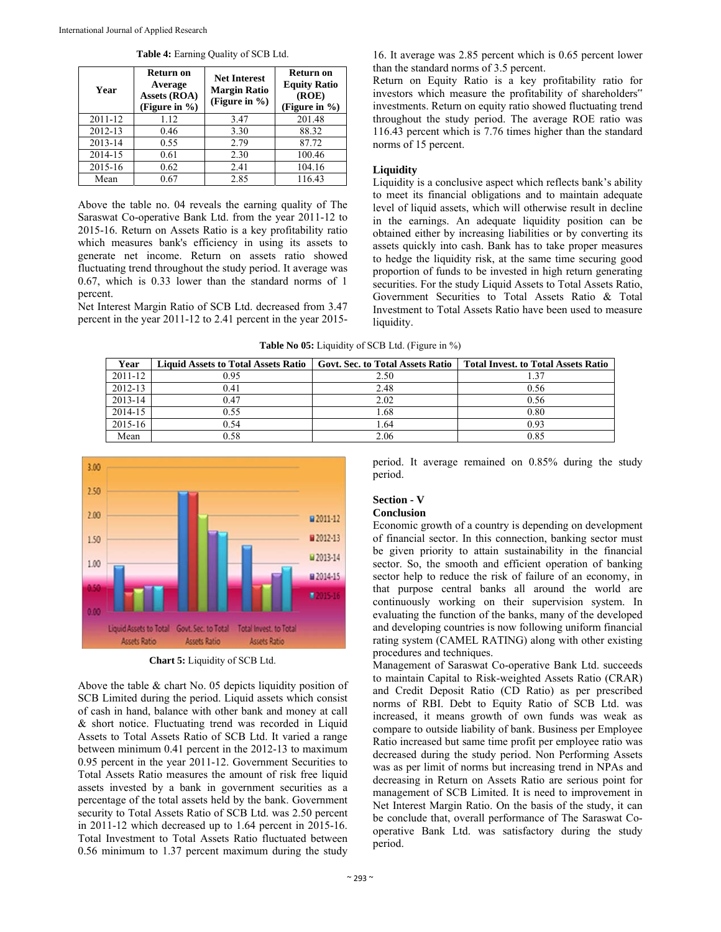| Year    | Return on<br>Average<br>Assets (ROA)<br>(Figure in %) | <b>Net Interest</b><br><b>Margin Ratio</b><br>(Figure in %) | Return on<br><b>Equity Ratio</b><br>(ROE)<br>(Figure in $\%$ ) |
|---------|-------------------------------------------------------|-------------------------------------------------------------|----------------------------------------------------------------|
| 2011-12 | 1.12                                                  | 3.47                                                        | 201.48                                                         |
| 2012-13 | 0.46                                                  | 3.30                                                        | 88.32                                                          |
| 2013-14 | 0.55                                                  | 2.79                                                        | 87.72                                                          |
| 2014-15 | 0.61                                                  | 2.30                                                        | 100.46                                                         |
| 2015-16 | 0.62                                                  | 2.41                                                        | 104.16                                                         |
| Mean    | 0.67                                                  | 2.85                                                        | 116.43                                                         |

**Table 4:** Earning Quality of SCB Ltd.

Above the table no. 04 reveals the earning quality of The Saraswat Co-operative Bank Ltd. from the year 2011-12 to 2015-16. Return on Assets Ratio is a key profitability ratio which measures bank's efficiency in using its assets to generate net income. Return on assets ratio showed fluctuating trend throughout the study period. It average was 0.67, which is 0.33 lower than the standard norms of 1 percent.

Net Interest Margin Ratio of SCB Ltd. decreased from 3.47 percent in the year 2011-12 to 2.41 percent in the year 2015-

16. It average was 2.85 percent which is 0.65 percent lower than the standard norms of 3.5 percent.

Return on Equity Ratio is a key profitability ratio for investors which measure the profitability of shareholders" investments. Return on equity ratio showed fluctuating trend throughout the study period. The average ROE ratio was 116.43 percent which is 7.76 times higher than the standard norms of 15 percent.

#### **Liquidity**

Liquidity is a conclusive aspect which reflects bank's ability to meet its financial obligations and to maintain adequate level of liquid assets, which will otherwise result in decline in the earnings. An adequate liquidity position can be obtained either by increasing liabilities or by converting its assets quickly into cash. Bank has to take proper measures to hedge the liquidity risk, at the same time securing good proportion of funds to be invested in high return generating securities. For the study Liquid Assets to Total Assets Ratio, Government Securities to Total Assets Ratio & Total Investment to Total Assets Ratio have been used to measure liquidity.

|  | <b>Table No 05:</b> Liquidity of SCB Ltd. (Figure in %) |  |  |  |
|--|---------------------------------------------------------|--|--|--|
|--|---------------------------------------------------------|--|--|--|

| Year    | <b>Liquid Assets to Total Assets Ratio</b> | <b>Govt. Sec. to Total Assets Ratio</b> | <b>Total Invest. to Total Assets Ratio</b> |
|---------|--------------------------------------------|-----------------------------------------|--------------------------------------------|
| 2011-12 | 0.95                                       | 2.50                                    |                                            |
| 2012-13 | 0.41                                       | 2.48                                    | 0.56                                       |
| 2013-14 | 0.47                                       | 2.02                                    | 0.56                                       |
| 2014-15 | 0.55                                       | 1.68                                    | 0.80                                       |
| 2015-16 | 0.54                                       | 1.64                                    | 0.93                                       |
| Mean    | 0.58                                       | 2.06                                    | 0.85                                       |



**Chart 5:** Liquidity of SCB Ltd.

Above the table & chart No. 05 depicts liquidity position of SCB Limited during the period. Liquid assets which consist of cash in hand, balance with other bank and money at call & short notice. Fluctuating trend was recorded in Liquid Assets to Total Assets Ratio of SCB Ltd. It varied a range between minimum 0.41 percent in the 2012-13 to maximum 0.95 percent in the year 2011-12. Government Securities to Total Assets Ratio measures the amount of risk free liquid assets invested by a bank in government securities as a percentage of the total assets held by the bank. Government security to Total Assets Ratio of SCB Ltd. was 2.50 percent in 2011-12 which decreased up to 1.64 percent in 2015-16. Total Investment to Total Assets Ratio fluctuated between 0.56 minimum to 1.37 percent maximum during the study

period. It average remained on 0.85% during the study period.

#### **Section - V Conclusion**

Economic growth of a country is depending on development of financial sector. In this connection, banking sector must be given priority to attain sustainability in the financial sector. So, the smooth and efficient operation of banking sector help to reduce the risk of failure of an economy, in that purpose central banks all around the world are continuously working on their supervision system. In evaluating the function of the banks, many of the developed and developing countries is now following uniform financial rating system (CAMEL RATING) along with other existing procedures and techniques.

Management of Saraswat Co-operative Bank Ltd. succeeds to maintain Capital to Risk-weighted Assets Ratio (CRAR) and Credit Deposit Ratio (CD Ratio) as per prescribed norms of RBI. Debt to Equity Ratio of SCB Ltd. was increased, it means growth of own funds was weak as compare to outside liability of bank. Business per Employee Ratio increased but same time profit per employee ratio was decreased during the study period. Non Performing Assets was as per limit of norms but increasing trend in NPAs and decreasing in Return on Assets Ratio are serious point for management of SCB Limited. It is need to improvement in Net Interest Margin Ratio. On the basis of the study, it can be conclude that, overall performance of The Saraswat Cooperative Bank Ltd. was satisfactory during the study period.